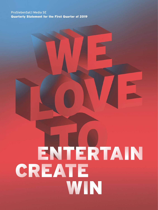# ProSiebenSat.1 Media SE Quarterly Statement for the First Quarter of 2019

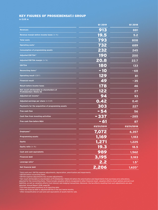# <span id="page-1-0"></span>KEY FIGURES OF PROSIEBENSAT.1 GROUP

**in EUR m**

|                                                                       | <b>Q1 2019</b> | <b>Q1 2018</b>   |
|-----------------------------------------------------------------------|----------------|------------------|
| <b>Revenues</b>                                                       | 913            | 881              |
| Revenue margin before income taxes (in %)                             | 19.5           | 5.2              |
| <b>Total costs</b>                                                    | 793            | 808              |
| Operating costs <sup>1</sup>                                          | 732            | 689              |
| <b>Consumption of programming assets</b>                              | 232            | 245              |
| Adjusted EBITDA <sup>2</sup>                                          | 190            | 200              |
| Adjusted EBITDA margin (in %)                                         | 20.8           | 22.7             |
| <b>EBITDA</b>                                                         | 180            | 133              |
| Reconciling items <sup>3</sup>                                        | 10<br>٠        | $-68$            |
| <b>Operating result (EBIT)</b>                                        | 129            | 81               |
| <b>Financial result</b>                                               | 49             | $-35$            |
| <b>Result before income taxes</b>                                     | 178            | 46               |
| Net result attributable to shareholders of<br>ProSiebenSat.1 Media SE | 122            | 27               |
| Adjusted net income <sup>4</sup>                                      | 94             | 93               |
| Adjusted earnings per share (in EUR)                                  | 0.42           | 0.41             |
| Payments for the acquisition of programming assets                    | 303            | 227              |
| Free cash flow                                                        | - 54           | 56               |
| <b>Cash flow from investing activities</b>                            | - 337          | $-285$           |
| <b>Free cash flow before M&amp;A</b>                                  | - 61           | 87               |
|                                                                       | 03/31/2019     | 03/31/2018       |
| Employees <sup>5</sup>                                                | 7,072          | 6,357            |
| <b>Programming assets</b>                                             | 1,169          | 1,183            |
| <b>Equity</b>                                                         | 1,271          | 1,225            |
| Equity ratio (in %)                                                   | 19.3           | 18.5             |
| <b>Cash and cash equivalents</b>                                      | 989            | 1,562            |
| <b>Financial debt</b>                                                 | 3,195          | 3,183            |
| Leverage ratio <sup>6</sup>                                           | 2.2            | 1.5 <sup>7</sup> |
| <b>Net financial debt</b>                                             | 2,206          | 1,6207           |

1 Total costs excl. EBITDA expense adjustments, depreciation, amortization and impairments.

<sup>2</sup> EBITDA before reconciling items.

<sup>3</sup> EBITDA expense adjustments less income adjustments.

4 Net result attributable to shareholders of ProSiebenSat.1 Media SE before the amortization and impairments from purchase price allocations, adjusted for the reconciling items. These include valuation effects recognized in other financial result, valuation effects of put-options and earn-out liabilities, as well as valuation effects from interest rate hedging transactions. Moreover, the tax effects resulting from such adjustments are also adjusted. Annual Report 2018, page 85.

5 Full-time equivalent positions as of reporting date.

6 Ratio net financial debt to adjusted EBITDA in the last twelve months.

7 After reclassification of cash and cash equivalents of assets held for sale.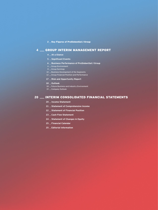#### 2 \_ [Key Figures of ProSiebenSat.1 Group](#page-1-0)

# [GROUP INTERIM MANAGEMENT REPORT](#page-3-0)

- **[At a Glance](#page-3-0)**
- **[Significant Events](#page-4-0)**
- **[Business Performance of ProSiebenSat.1 Group](#page-5-0)**
- [Group Environment](#page-5-0)
- $8 \perp$  [Group Earnings](#page-7-0)
- 10  $\equiv$  [Business Development of the Segments](#page-9-0)
- [Group Financial Position and Performance](#page-11-0)
- **[Risk and Opportunity Report](#page-16-0)**
- **[Outlook](#page-17-0)**
- 18 Euture Business and Industry Environment
- 19 \_ [Company Outlook](#page-18-0)

# **[INTERIM CONSOLIDATED FINANCIAL STATEMENTS](#page-19-0)**

- **[Income Statement](#page-19-0)**
- **[Statement of Comprehensive Income](#page-20-0)**
- **[Statement of Financial Position](#page-21-0)**
- **[Cash Flow Statement](#page-22-0)**
- **[Statement of Changes in Equity](#page-23-0)**
- **[Financial Calendar](#page-24-0)**
- **[Editorial Information](#page-24-0)**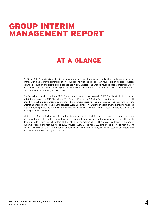# <span id="page-3-0"></span>GROUP INTERIM MANAGEMENT REPORT

# AT A GLANCE

ProSiebenSat.1 Group is driving the digital transformation forward emphatically and uniting leading entertainment brands with a high-growth commerce business under one roof. In addition, the Group is achieving global success with the production and distribution business Red Arrow Studios. The Group's revenue base is therefore widely diversified. Over the next around five years, ProSiebenSat.1 Group intends to further increase the digital business' share in revenues to 50% (Q1 2018: 30%).

The Group had a positive start into 2019: Consolidated revenues rose by 4% to EUR 913 million in the first quarter of 2019 (previous year: EUR 881 million). The Content Production & Global Sales and Commerce segments both grew by a double-digit percentage and more than compensated for the expected decline in revenues in the Entertainment segment. However, the adjusted EBITDA declined. This was the effect of lower advertising revenues. With this development, the first quarter business performance is in line with the full-year targets 2019 which the Group presented in March.

At the core of our acitivities we will continue to provide best entertainment that people love and commerce offerings that people need. In everything we do, we want to be as close to the consumers as possible and to delight people — with the right offers at the right time, no matter where. This success is decisively shaped by our employees. In the first quarter of 2019, ProSiebenSat.1 Group had 7,072 employees (previous year: 6,357), calculated on the basis of full-time equivalents; the higher number of employees mainly results from acquisitions and the expansion of the digital portfolio.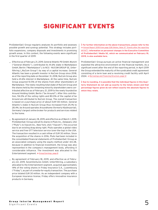# SIGNIFICANT EVENTS

<span id="page-4-0"></span>ProSiebenSat.1 Group regularly analyzes its portfolio and assesses possible growth and synergy potential. This strategy includes portfolio expansions, company disposals and investments in promising growth areas. In this context, the following events were significant in the first quarter of 2019:

- \_ Effective as of February 21, 2019, General Atlantic PD GmbH, Munich ("General Atlantic"), contributed its 41.6% stake in Marketplace GmbH, Berlin ("Marketplace"), to NCG - NUCOM GROUP SE, Unterföhring ("NuCom Group") by way of a capital increase. General Atlantic has been a growth investor in NuCom Group since 2018; as of the reporting date on December 31, 2018, NuCom Group also held a 41.6% interest in Marketplace. At the same time, NuCom Group acquired 10.5% of the shares from other shareholders of Marketplace. The newly resulting total stake of NuCom Group and the shares held by the remaining minority shareholders were contributed affective as of February 21, 2019 to the newly founded be Around Holding GmbH, Berlin ("be Around"). After this contribution, 94.0% of the voting rights and 80.0% of the capital of be Around are attributed to NuCom Group. The overall transaction is based on a purchase price of about EUR 130 million. General Atlantic's stake in NuCom Group thus increased from 25.1% to 28.4%. be Around operates Aroundhome (formerly Käuferportal), Germany's largest online broker for products and services related to the home.
- \_ By agreement of January 18, 2019, and effective as of March 1, 2019, ProSiebenSat.1 Group sold all its shares in Pluto Inc., Delaware, USA ("Pluto"), to Viacom Inc., New York, USA ("Viacom"). This occurred due to an existing drag-along right. Pluto operates a global video service and free OTT television service (over-the-top) in the USA. The transaction resulted in a cash inflow of EUR 30 million. Since the acquisition of the shares in 2016, Pluto had been included in the consolidated financial statements of ProSiebenSat.1 Group as an associated company using the equity method under IAS 28, because in addition to financial investment, the Group was also represented in the company's management body, affording it considerable influence. The investment was allocated to the Entertainment segment.  $\rightarrow$  [Group Earnings, page 8](#page-7-1)
- By agreement of February 18, 2019, and effective as of February 22, 2019, SevenVentures GmbH, Unterföhring, a subsidiary allocated to the Entertainment segment, acquired approximately 14% of the voting shares in Friday Insurance S.A., Luxembourg ("Friday"), as part of a media-for-equity transaction. The purchase price totaled EUR 30 million. As an independent company with a European insurance license, Friday offers innovative insurance products in Germany.

<span id="page-4-1"></span>**For further information on the above transactions, please refer to the**  Annual Report 2018 from page 228 (Notes, Note 37 "Events after the reporting period")**. Information on personnel changes in the Executive Committee of ProSiebenSat.1 Media SE, which we communicated on February 19, 2019, is also available here.** 

ProSiebenSat.1 Group pursues an active financial management and exploited the attractive environment on the financial markets. As a significant event after the end of the reporting period, in April 2019 the Group extended the maturity of the syndicated credit agreement consisting of a term loan and a revolving credit facility until April 2024. > [Borrowings and Financing Structure, page 12](#page-11-1)

**Due to rounding, it is possible that the individual figures in this Quarterly Statement do not add up exactly to the totals shown and that percentage figures given do not reflect exactly the absolute figures to which they relate.**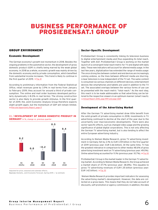# <span id="page-5-0"></span>BUSINESS PERFORMANCE OF PROSIEBENSAT.1 GROUP

## GROUP ENVIRONMENT

### <span id="page-5-1"></span>Economic Development

The German economy's growth lost momentum in 2018. Besides the ongoing problems in the automotive sector, the development of gross domestic product (GDP) is chiefly being marred by the weak global economy. In 2018 as a whole, economic growth was mainly driven by the domestic economy and by private consumption, which benefited from substantial income increases. This trend is likely to continue in the first quarter of 2019.  $\rightarrow$  Fig. 01

According to preliminary information from the Federal Statistical Office, retail revenues grew by 3.9% in real terms from January to February 2019; they account for around a third of private consumption. The online and mail order business developed particularly dynamically (+8.0% in real terms). The strong construction sector is also likely to provide growth stimulus. In the first quarter of 2019, the Joint Economic Analysis Group therefore expects slight growth again, but the momentum of GDP will remain limited. → [Risk and Opportunity Report, page 17](#page-16-1)

#### 01 / DEVELOPMENT OF GROSS DOMESTIC PRODUCT IN GERMANY in %, change vs. previous quarter



Adjusted for price, seasonal and calendar effects. **Sources:** Destatis, Joint Economic Forecast, Spring 2019. / **e:** estimate

### Sector-Specific Development

ProSiebenSat.1 Group is consistently linking its television business to digital entertainment media and thus expanding its total reach. Together with AGF, ProSiebenSat.1 Group is working on the market launch of a convergent total reach metric for TV and digital with daily data. These new indicators will account for altered media usage. In the last few years, digitalization has extended the range of media usage: The once strong ties between content and end devices are increasingly coming undone, so the lines between different media are blurring. Linear television is now independent of the TV set. The same content is consumed via various channels on different devices; entertainment devices like smartphones and tablets are used in addition to the TV set. The associated overlaps between the various forms of use can be presented with the reach metric "total reach." As the next step, this reach is to be made addressable so that advertising can be tailored to the respective viewers in an optimum manner (smart reach). Annual Report 2018, page 99ff and page 126ff

### <span id="page-5-2"></span>Development of the Advertising Market

After the German TV advertising market drew little benefit from the solid growth of private consumption in 2018, investments in TV advertising continued to decline at the start of the year due to the uncertainty over macroeconomic developments. There were also sector-specific effects, such as changed video usage and the growing significance of global digital corporations. This is not only affecting the German TV advertising market, but is also tending to affect the entire European advertising industry.

According to Nielsen Media Research, gross TV advertising investment in Germany fell by 2.1% to EUR 3.59 billion in the first quarter of 2019 (previous year: EUR 3.66 billion). At the same time, TV has the greatest relevance in comparison to other media: 48.6% of gross advertising investment went on TV advertising (previous year: 49.0%). Online advertising accounted for 11.1% (previous year: 10.7%).  $\rightarrow$  [Fig. 02](#page-6-0)

ProSiebenSat.1 Group is the market leader in the German TV advertising market. According to Nielsen Media Research, the Group achieved a market share of 37.7% (previous year: 38.8%). This equates to gross TV advertising revenues of EUR 1.35 billion (previous year: EUR 1.42 billion).  $\rightarrow$  [Fig. 03](#page-6-0)

 Nielsen Media Research provides important indicators for assessing the advertising market's development. However, the data are collected on a gross basis. This means that they do not take account of discounts, self-promotion or agency commission; in addition, the data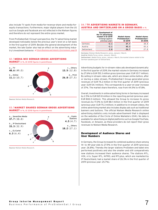<span id="page-6-0"></span>also include TV spots from media-for-revenue-share and media-forequity transactions. Furthermore, major digital players from the US such as Google and Facebook are not reflected in the Nielsen figures and therefore do not represent the entire gross market.

From ProSiebenSat.1 Group's perspective, the TV advertising market developed noticeably below the previous year's level on a net basis in the first quarter of 2019. Besides the general development of the market, the late Easter also had an effect on the advertising industry's investment behavior.  $\rightarrow$  [Future Business and Industry Environment, page 18](#page-17-1)





**Source:** Nielsen Media Research.

#### 03 / MARKET SHARES GERMAN GROSS ADVERTISING MARKET in %, Q1 2018 figures in parentheses



**Source:** Nielsen Media Research.

#### 04 / TV ADVERTISING MARKETS IN GERMANY, AUSTRIA AND SWITZERLAND ON A GROSS BASIS in %

|             | Development of<br>the TV advertising<br>market in Q1 2019<br>(Change against<br>previous year) | <b>Market shares</b><br>ProSiebenSat.1<br>Q1 2019 | <b>Market shares</b><br>ProSiebenSat.1<br><b>Q1 2018</b> |
|-------------|------------------------------------------------------------------------------------------------|---------------------------------------------------|----------------------------------------------------------|
| Germany     | $-2.1$                                                                                         | 37.7                                              | 38.8                                                     |
| Austria     | $-2.1$                                                                                         | 45.3                                              | 43.6                                                     |
| Switzerland | 2.8                                                                                            | 26.7                                              | 27.8                                                     |

**Germany:** Nielsen Media Research, gross, January–March.

**Austria:** Media Focus, gross, January–March.

**Switzerland :** Media Focus, gross, January–March, the market shares relate to the German-speaking part of Switzerland.

Advertising budgets for in-stream video ads developed dynamically: In the first quarter of 2019, the market volume in Germany increased by 27.6% to EUR 155.3 million gross (previous year: EUR 121.7 million). By selling in-stream video ads, which are shown online before, after or during a video stream, ProSiebenSat.1 Group generated gross revenues of EUR 74.2 million in the first quarter of 2019 (previous year: EUR 54.1 million). This corresponds to a year-on-year increase of 37%. The market share therefore, rose from 44.5% to 47.8%.

Overall, investments in online advertising forms in Germany increased by 2.5% to EUR 821.8 million in the reporting period (previous year: EUR 802.0 million). This allowed the Group to increase its gross revenues by 17.0% to EUR 88.1 million in the first quarter of 2019 (previous year: EUR 75.3 million). In addition to in-stream videos, the online advertising market also includes display ads such as traditional banners and buttons. The official Nielsen Media Research online advertising statistics only include advertisement that is displayed on the websites of the Circle of Online Marketers (OVK). No data is available for advertising on digital platforms such as Google/YouTube, Facebook, or Amazon, as these providers do not report their gross revenues to Nielsen Media Research.

### Development of Audience Shares and User Numbers

In Germany, the Group increased its combined audience share among 14- to 49-year-olds to 27.9% in the first quarter of 2019 (previous year: 26.8%). Thereby the larger stations ProSieben and kabel eins performed positively and also the smaller and still comparatively new stations increased their audience shares. The stations RTL, VOX, n-tv, Super RTL, NITRO, and RTLplus, which are marketed by IP Deutschland, had a market share of 26.3% in the first quarter of 2019 (previous year: 25.7%).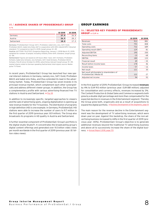#### <span id="page-7-0"></span>05 / AUDIENCE SHARES OF PROSIEBENSAT.1 GROUP in %

|             | Q1 2019 | 01 2018 |
|-------------|---------|---------|
| Germany     | 27.9    | 26.8    |
| Austria     | 26.9    | 28.2    |
| Switzerland | 18.0    | 175     |

**Germany:** ProSiebenSat.1 Group: SAT.1, ProSieben, kabel eins, sixx, SAT.1 Gold, ProSieben MAXX, kabel eins Doku AGF in cooperation with GfK| videoSCOPE 1.1|market standard: TV | prepared on April 5, 2019; target group: 14–49.

**Austria:** AGTT/GfK TELETEST; Evogenius Reporting; January 1, 2018-March 31, 2019; weighted for number of people; including VOSDAL/time-shift; standard, target group:  $12 - 49.$ 

**Switzerland:** Figures are based on 24 hours (Mon–Sun). SAT.1 Schweiz, ProSieben Schweiz, kabel eins Schweiz, sixx Schweiz, SAT.1 Gold Schweiz, ProSieben MAXX Schweiz, Puls 8 (since October 8, 2015); advertising-relevant target group: 15–49; market shares relate to German-speaking Switzerland; total signal; source: Mediapulse TV Panel.

In recent years, ProSiebenSat.1 Group has launched four new special interest stations in Germany, namely sixx, SAT.1 Gold, ProSieben MAXX and kabel eins Doku, and thus extended its lead in the advertising market. Today, ProSiebenSat.1 Group has seven brands in its principal revenue market, which complement each other synergistically and address different viewer groups. In addition, the Group has a complementary profile with various advertising-financed free TV stations in Austria and Switzerland.  $\rightarrow$  Fig. 05

In addition to increasingly specific, targeted approaches to viewers and the sale of advertising spots, ongoing digitalization is opening up new revenue models for the TV business. The distribution of programs in high definition (HD) is one example. In Germany, ProSiebenSat.1 HD stations were able to increase the number of users to 9.7 million in the first quarter of 2019 (previous year: 8.9 million). The Group also broadcasts its programs in HD quality in Austria and Switzerland.

A further essential component of ProSiebenSat.1 Group's portfolio is the digital studio Studio71. It concentrates the broadcasting group's digital content offerings and generated over 9.0 billion video views per month worldwide in the first quarter of 2019 (previous year: 8.1 billion video views).

# <span id="page-7-1"></span>GROUP EARNINGS

#### 06 / SELECTED KEY FIGURES OF PROSIEBENSAT.1 GROUP in EUR m

|                                                                       | 01 2019 | 01 2018 |
|-----------------------------------------------------------------------|---------|---------|
| Revenues                                                              | 913     | 881     |
| Total costs                                                           | 793     | 808     |
| Operating costs                                                       | 732     | 689     |
| Operating result (EBIT)                                               | 129     | 81      |
| Adjusted EBITDA                                                       | 190     | 200     |
| Reconciling items                                                     | $-10$   | -68     |
| EBITDA                                                                | 180     | 133     |
| Financial result                                                      | 49      | $-35$   |
| Result before income taxes                                            | 178     | 46      |
| Income taxes                                                          | $-57$   | $-16$   |
| Net result                                                            | 121     | 30      |
| Net result attributable to shareholders of<br>ProSiebenSat.1 Media SE | 122     | 27      |
| Adjusted net income                                                   | 94      | 93      |

In the first quarter of 2019, ProSiebenSat.1 Group increased **revenues** by 4% to EUR 913 million (previous year: EUR 881 million); adjusted for consolidation and currency effects, revenues increased by 3%. The Content Production & Global Sales and Commerce segments both grew by a double-digit percentage and more than compensated for the expected decline in revenues in the Entertainment segment. Thereby the Group grew both, organically and as a result of acquisitions to expand the digital portfolio.  $\rightarrow$  [Business Development of the Segments, page 10](#page-9-1)

The main reason for the revenue decline in the Entertainment segment was the development of TV advertising revenues, which were down year-on-year. Against this backdrop, the share of the non-advertising business increased to 44% in the first quarter of 2019 (previous year: 40%). ProSiebenSat.1 Group's objective is to generate additional revenues beyond the traditional TV advertising business and above all to successively increase the share of the digital business. → Annual Report 2018, page 170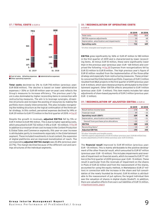#### 07 / TOTAL COSTS in EUR m



**Cost of sales Selling expenses Administrative expenses** Other operating expenses

**Total costs** declined by 2% to EUR 793 million (previous year: EUR 808 million). The decline is based on lower administrative expenses (– 35% or EUR 69 million year-on-year) and reflects the Group's measures to increase efficiency. The previous year's figure is also dominated by higher reconciling items in connection with restructuring measures. The aim is to leverage synergies, streamline structures and increase the pooling of resources by making the portfolio more closely interconnected. This also includes reorganizing the holding structure as the logical continuation of the three-pillar strategy. In this context, personnel expenses declined by 14% or EUR 29 million to EUR 173 million in the first quarter of 2019.  $\rightarrow$  Fig. 07

Despite the growth in revenues, **adjusted EBITDA** fell by 5% or EUR 11 million to EUR 190 million. This is due to higher operating costs, which amounted to EUR 732 million (+6% or EUR -43 million).  $\rightarrow$  Fig. 08 In addition to a revenue-driven cost increase in the Content Production & Global Sales and Commerce segments, this year-on-year increase is attributable partly to investments especially in the Entertainment segment. These included investments in local content, the expansion of digital plattforms and an improved monetization of reach. The corresponding **adjusted EBITDA margin** was 20.8% (previous year: 22.7%). The margin declined because of the different cost and earnings structures of the individual segments.

# 08 / RECONCILIATION OF OPERATING COSTS

in EUR m

|                                                         | Q1 2019 | 01 2018 |
|---------------------------------------------------------|---------|---------|
| Total costs                                             | 793     | 808     |
| EBITDA expense adjustments                              | 10      | 68      |
| Depreciation, amortization and impairments <sup>1</sup> | 51      | 51      |
| <b>Operating costs</b>                                  | 732     | 689     |

1 Of other intangible and tangible assets.

**EBITDA** grew significantly by 36% or FUR 47 million to 180 million in the first quarter of 2019 and is characterized by lower reconciling items. At minus EUR 10 million, these were significantly lower than in the previous year (previous year: EUR –68 million) and comprised the following:  $\rightarrow$  Fig. 09 Expenses from reorganizations fell by EUR 53 million to EUR 8 million. The high previous year's figure of EUR 61 million resulted from the implementation of the three-pillar strategy and especially from restructuring measures. These primarily concerned the Entertainment portfolio. Expenses of EUR 3 million resulted from M&A projects in the first quarter of 2019 (previous year: EUR 4 million), which were likewise primarily attributable to the Entertainment segment. Other EBITDA effects amounted to EUR 1 million (previous year: EUR – 3 million). This item mainly includes fair value adjustments of share-based payments of EUR 2 million (previous year: EUR – 2 million).

#### 09 / RECONCILIATION OF ADJUSTED EBITDA in EUR m

|                                                         | Q1 2019 | 01 2018 |
|---------------------------------------------------------|---------|---------|
| Result before income taxes                              | 178     | 46      |
| Financial result                                        | 49      | $-35$   |
| <b>Operating result (EBIT)</b>                          | 129     | 81      |
| Depreciation, amortization and impairments <sup>1</sup> | $-51$   | $-51$   |
| thereof from purchase price allocations                 | $-12$   | $-12$   |
| <b>EBITDA</b>                                           | 180     | 133     |
| Reconciling items <sup>2</sup>                          | $-10$   | $-68$   |
| <b>Adjusted EBITDA</b>                                  | 190     | 200     |

1 Of other intangible and tangible assets.

<sup>2</sup> EBITDA expense adjustments of EUR 10 million (previous year: EUR 68 million) less income adjustments of EUR 0 million (previous year: EUR 0 million).

The **financial result** improved to EUR 49 million (previous year: EUR – 35 million). This is mainly attributable to the positive development of the other financial result, which amounted to EUR 67 million (previous year: EUR – 10 million). This includes impairments and reversals of impairment on financial assets, which increased to EUR 77 million in the first quarter of 2019 (previous year: EUR –9 million). These result in particular from the reversals of impairment on the shares in Pluto of EUR 22 million and from the reassessment of the shares, accounted for using the equity method, in Marketplace (EUR 27 million) in connection with the increase in the share and full consolidation of the newly founded be Around. EUR 16 million is attributable to the reassessment of put options; the largest individual item was the valuation of shares in digital studio Studio71. In addition, there are valuation effects from earn-out liabilities of EUR 13 million.  $\rightarrow$  [Significant Events, page 5](#page-4-1)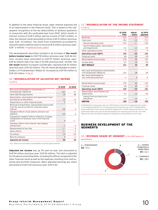<span id="page-9-0"></span>In addition to the other financial result, lower interest expenses led to an improvement in the financial result. This is based on the subsequent recognition of the tax deductibility of advance payments in connection with the syndicated loan from 2007, which results in interest income of EUR 5 million and tax income of EUR 3 million. In total, the interest result amounted to minus EUR 10 million (previous year: EUR – 23 million). The result from investments accounted for using the equity method came to minus EUR 8 million (previous year: EUR - 2 million).  $\rightarrow$  [Significant Events, page 5](#page-4-1)

The developments described resulted in an increase of **the result before income taxes** to EUR 178 million (previous year: EUR 46 million). Income taxes amounted to EUR 57 million (previous year: EUR 16 million) with a tax rate of 32.0% (previous year: 34.5%). The **net result** likewise increased considerably, reaching EUR 121 million (previous year: EUR 30 million). The net result attributable to shareholders of ProSiebenSat.1 Media SE increased by EUR 95 million to EUR 122 million.  $\rightarrow$  Fig. 10

# 10 / RECONCILIATION OF ADJUSTED NET INCOME

in EUR m

|                                                                                                                 | 01 2019        | 01 2018 |
|-----------------------------------------------------------------------------------------------------------------|----------------|---------|
| Net result attributable to shareholders of<br>ProSiebenSat.1 Media SE                                           | 122            | 27      |
| Other EBITDA adjustments                                                                                        | 10             | 68      |
| Depreciation, amortization and impairments from<br>purchase price allocations <sup>1</sup>                      | 13             | 11      |
| Impairments on other financial assets                                                                           | $\overline{c}$ | 6       |
| Reversal of impairment, reassessment and income<br>from the sale accounted for using the equity<br>method       | $-49$          | 0       |
| Valuation effects of put-options and earn-out<br>liabilities                                                    | $-26$          | 6       |
| Subsequent valuation effects relating to strategic<br>realignments of business units in the financial<br>result | 4              | - / -   |
| Valuation effects from interest rate hedging<br>transactions                                                    | $-1$           | 0       |
| Reassessment of tax risks                                                                                       | $-/-$          | 6       |
| Other effects                                                                                                   | $-/-$          | $-2$    |
| Tax effects                                                                                                     | 14             | $-26$   |
| Minority interests                                                                                              | 4              | $-2$    |
| <b>Adjusted net income</b>                                                                                      | 94             | 93      |

<sup>1</sup> Incl. effects on associates consolidated using the equity method.

**Adjusted net income** was up 1% year-on-year and amounted to EUR 94 million (previous year: EUR 93 million). This item is adjusted for the above reconciling items, including the effects recognized in the other financial result as well as the expenses resulting from restructuring and portfolio measures. Basic adjusted earnings per share amounted to EUR 0.42 (previous year: EUR 0.41).

# 11 / RECONCILIATION OF THE INCOME STATEMENT

| ______ |  |
|--------|--|

|                                                                       | Q1 2019<br><b>IFRS</b> | Adjust-<br>ments | 01 2019<br>adjusted |
|-----------------------------------------------------------------------|------------------------|------------------|---------------------|
| Revenues                                                              | 913                    | $-/-$            | 913                 |
| Total costs                                                           | $-793$                 | $-22$            | $-771$              |
| thereof operating costs                                               | $-732$                 | $-/-$            | $-732$              |
| thereof depreciation, amortization<br>and impairments                 | $-51$                  | $-13$            | $-39$               |
| Other operating income                                                | 9                      | $-/-$            | 9                   |
| <b>Operating result (EBIT)</b>                                        | 129                    | $-22$            | 151                 |
| <b>Financial result</b>                                               | 49                     | 69               | $-19$               |
| Result before income taxes                                            | 178                    | 46               | 131                 |
| Income taxes                                                          | $-57$                  | $-14$            | $-43$               |
| <b>NET RESULT</b>                                                     | 121                    | 32               | 89                  |
|                                                                       |                        |                  |                     |
| Net result attributable to shareholders<br>of ProSiebenSat.1 Media SE | 122                    | 28               | 94                  |
| Net result attributable to<br>non-controlling interests               | $-1$                   | $\overline{4}$   | $-5$                |
|                                                                       |                        |                  |                     |
| Result before income taxes                                            | 178                    | 46               | 131                 |
| <b>Financial result</b>                                               | 49                     | 69               | $-19$               |
| <b>Operating result (EBIT)</b>                                        | 129                    | $-22$            | 151                 |
| Depreciation, amortization and<br>impairments                         | $-51$                  | $-13$            | $-39$               |
| thereof from purchase price<br>allocations                            | $-12$                  | $-12$            | $-/-$               |
| <b>EBITDA</b>                                                         | 180                    | $-10$            | 190                 |

ProSiebenSat.1 Group also uses non-IFRS figures in the form of adjusted net income (1) and adjusted EBITDA (2). At the beginning of financial year 2017, ProSiebenSat.1 Group published a full income statement adjusted for certain influencing factors. This publication takes into account the development of reporting practices for non-IFRS figures and more stringent regulatory transparency requirements in this area.

# <span id="page-9-1"></span>BUSINESS DEVELOPMENT OF THE SEGMENTS

#### 12 / REVENUE SHARE BY SEGMENT in %, 2018 figures in parentheses

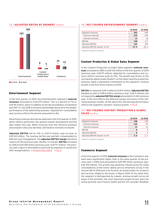#### 13 / ADJUSTED EBITDA BY SEGMENT in EUR m



 $\Box$  01.2019  $\Box$  01.2018

#### Entertainment Segment

In the first quarter of 2019, the Entertainment segment's **external revenues** amounted to EUR 579 million. This is a decline of 7% or EUR 45 million, which in addition to the deconsolidation of maxdome and 7NXT in July 2018 is primarily attributable above all to the weaker performance of the advertising business. Adjusted for consolidation and currency effects the decline amounted to 4%.

Advertising revenues declined as expected in the first quarter of 2019, which reflects particulary the general market development and the later Easter this year. While revenues from the Ventures business and program sales also declined, distribution revenues increased.

**Adjusted EBITDA** fell by 11% or EUR 21 million year-on-year to EUR 163 million. The revenue decline was partially compensated by efficient cost management. The **adjusted EBITDA margin** therefore came to 27.5% (previous year: 28.6%). In contrast, **EBITDA** increased by 36% to EUR 158 million (previous year: EUR 117 million). The previous year's figure is dominated in particular by expenses in connection with reorganizations.  $\rightarrow$  [Group Earnings, page](#page-7-1) [8](#page-7-1)  $\rightarrow$  Fig. 14

#### 14 / KEY FIGURES ENTERTAINMENT SEGMENT in EUR m

|                                            | Q1 2019 | 01 2018 |
|--------------------------------------------|---------|---------|
| Segment revenues                           | 592     | 642     |
| External revenues                          | 579     | 624     |
| Internal revenues                          | 13      | 18      |
| EBITDA                                     | 158     | 117     |
| Adjusted EBITDA                            | 163     | 183     |
| Adjusted EBITDA margin <sup>1</sup> (in %) | 27.5    | 28.6    |

1 Based on segment revenues.

#### Content Production & Global Sales Segment

In the Content Production & Global Sales segment, **external revenues** increased by 38% to EUR 135 million in the first quarter of 2019 (previous year: EUR 97 million). Adjusted for consolidation and currency effects revenues grew by 31%. The growth was driven on the one hand by digital studio Studio71, on the other hand the production business made a substantial contribution to the segment's revenue growth in the first three months of 2019.

**EBITDA** increased by EUR 4 million to EUR 8 million. **Adjusted EBITDA** doubled as well to EUR 8 million (previous year: EUR 4 million); the corresponding **adjusted EBITDA margin** amounted to 5.6% (previous year: 3.7%) and reflects the different margin structures of the individual business models. At the same time, the earnings performance reflects the segment's dynamic revenue growth.  $\rightarrow$  Fig. 15

#### 15 / KEY FIGURES CONTENT PRODUCTION & GLOBAL SALES in EUR m

| Q1 2019 | 012018 |
|---------|--------|
| 148     | 110    |
| 135     | 97     |
| 13      | 12     |
| я       |        |
| я       |        |
| 5.6     | 37     |
|         |        |

1 Based on segment revenues.

#### Commerce Segment

In the first quarter of 2019, **external revenues** in the Commerce segment were significantly higher than in the same quarter of the previous year (+ 25%) and amounted to EUR 199 million (previous year: EUR 159 million). The growth was positively influenced by the initial consolidations of the online dating service eHarmony Group in the second half of 2018 and of be Around, an online broker for products and services related to the home, in March 2019. At the same time, the segment is distinguished by organic revenue growth across all areas of the portfolio; the most important growth drivers were the online perfume store Flaconi GmbH and the OTC provider WindStar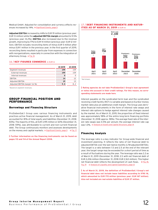<span id="page-11-0"></span>Medical GmbH. Adjusted for consolidation and currency effects revenues increased by 14%.  $\rightarrow$  [Significant Events, page 5](#page-4-1)

**Adjusted EBITDA** increased by 44% to EUR 19 million (previous year: EUR 13 million) while the **adjusted EBITDA margin** amounted to 9.5% (previous year: 8.2%). **EBITDA** also increased due to the revenue growth, improving by 17% to EUR 14 million (previous year: EUR 12 million). EBITDA includes reconciling items of minus EUR 5 million after minus EUR 1 million in the previous year. In the first quarter of 2019, reconciling items resulted in particular from expenses in connection with reorganizations, especially in connection with the integration of eHarmony Group.  $\rightarrow$  Fig. 16

### 16 / KEY FIGURES COMMERCE in EUR m

|                                            | Q1 2019 | 01 2018 |
|--------------------------------------------|---------|---------|
| Segment revenues                           | 199     | 159     |
| External revenues                          | 199     | 159     |
| Internal revenues                          | 0       |         |
| EBITDA                                     | 14      | 12      |
| Adjusted EBITDA                            | 19      | 13      |
| Adjusted EBITDA margin <sup>1</sup> (in %) | 9.5     | 8.2     |

1 Based on segment revenues.

#### GROUP FINANCIAL POSITION AND PERFORMANCE

#### <span id="page-11-1"></span>Borrowings and Financing Structure

ProSiebenSat.1 Group uses various financing instruments and practices active financial management. As of March 31, 2019, debt accounted for 81% of total equity and liabilities (December 31, 2018: 83%). The majority of this, at EUR 3,195 million or 60% (December 31, 2018: 59%), was attributable to current and non-current financial debt. The Group continuously monitors and assesses developments on the money and capital markets.  $\rightarrow$  [Significant Events, page 5](#page-4-1)  $\rightarrow$  Fig. 17

**Further information on the financing instruments can be found on pages 113 and 114 of the Annual Report 2018.** 

#### 17 / DEBT FINANCING INSTRUMENTS AND MATUR-ITIES AS OF MARCH 31, 2019 in EUR m



1 Not drawn.

**Rating agencies do not take ProSiebenSat.1 Group's loan agreement or notes into account in their credit ratings. For this reason, no corresponding statements are made here.**

Interest payable on the syndicated term loan and the syndicated revolving credit facility (RCF) is variable and based on Euribor money market rates plus an additional credit margin. The Group uses derivative financial instruments in the form of interest rate swaps and interest rate options to hedge against interest rate changes caused by the market. As of March 31, 2019, the proportion of fixed interest was approximately 98% of the entire long-term financing portfolio (December 31, 2018: approx. 98%). The average fixed rate of the interest rate swaps was 0.5% per annum; the average interest rate cap was  $1.0\%$ .  $\rightarrow$  [Analysis of Assets and Capital Structure, page 14](#page-13-0)

#### Financing Analysis

The leverage ratio is a key indicator for Group-wide financial and investment planning. It reflects the ratio of net financial debt to adjusted EBITDA over the last twelve months (LTM adjusted EBITDA). The target is a ratio between 1.5 and 2.5 at the end of the relevant year; the target range may be exceeded for a short period of time as a result of fluctuations during the year. The leverage ratio was 2.2 as of March 31, 2019 (December 31, 2018: 2.1) with net financial debt of EUR 2,206 million (December 31, 2018: EUR 2,163 million). This higher net financial debt reflects the development of cash flows.  $\rightarrow$  [Fig. 18,](#page-12-0) [Fig. 19](#page-12-0)  $\rightarrow$  [Analysis of Liquidity and Capital Expenditure, page 13](#page-12-1)

**As of March 31, 2019, the definition of ProSiebenSat.1 Group's net financial debt does not include lease liabilities according to IFRS 16, which amounted to EUR 170 million (previous year: EUR 167 million). Also not included are real estate liabilities of EUR 37 million.**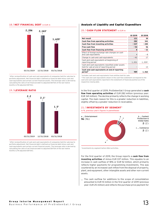#### <span id="page-12-0"></span>18 / NET FINANCIAL DEBT in EUR m



1 After reclassification of cash and cash equivalents of companies held for sale due to portfolio adjustment. Net financial debt is defined as financial debt minus cash and cash equivalents and certain current financial assets. The leverage ratio is derived by calculating the ratio of net financial debt to adjusted EBITDA of the last twelve months (LTM adjusted EBITDA).

#### 19 / LEVERAGE RATIO



1 After reclassification of cash and cash equivalents of companies held for sale due to portfolio adjustment. Net financial debt is defined as financial debt minus cash and cash equivalents and certain current financial assets. The leverage ratio is derived by calculating the ratio of net financial debt to adjusted EBITDA of the last twelve months (LTM adjusted EBITDA).

### <span id="page-12-1"></span>Analysis of Liquidity and Capital Expenditure

#### 20 / CASH FLOW STATEMENT in EUR m

|                                                                                               | Q1 2019 | 012018 |
|-----------------------------------------------------------------------------------------------|---------|--------|
| Net result                                                                                    | 121     | 30     |
| <b>Cash flow from operating activities</b>                                                    | 282     | 341    |
| Cash flow from investing activities                                                           | $-337$  | -285   |
| <b>Free cash flow</b>                                                                         | $-54$   | 56     |
| <b>Cash flow from financing activities</b>                                                    | 8       | $-32$  |
| Effect of foreign exchange rate changes on cash<br>and cash equivalents                       | 4       | - 8    |
| Change in cash and cash equivalents                                                           | $-42$   | 17     |
| Cash and cash equivalents at beginning of<br>reporting period                                 | 1,031   | 1.5591 |
| Cash and cash equivalents classified under assets<br>held for sale at end of reporting period |         | 13     |
| Cash and cash equivalents at end of reporting<br>period <sup>2</sup>                          | 989     | 1.562  |

1 Includes cash and cash equivalents from entities held for sale.

2 The cash and cash equivalents shown in the cash flow statement correspond to the cash and cash equivalents reported in the statement of financial position as of the respective closing date.

In the first quarter of 2019, ProSiebenSat.1 Group generated a **cash flow from operating activities** of EUR 282 million (previous year: EUR 341 million). The decline primarily reflects the change in working capital. The main reason for this is a greater reduction in liabilities, slightly offset by a greater reduction in receivables.

#### 21 / INVESTMENTS BY SEGMENT<sup>1</sup>

in %, previous year's figures in parentheses



1 Investments by segment before M&A activities.

For the first quarter of 2019, the Group reports a **cash flow from investing activities** of minus EUR 337 million. This equates to an increase in cash outflow of 18% or EUR 52 million, which primarily reflects higher payments for programming investments. This was countered by an increased cash inflow from the disposal of property, plant, and equipment, other intangible assets and other non-current assets.

\_ The cash outflow for additions to the scope of consolidation amounted to EUR 10 million in the first quarter of 2019 (previous year: EUR 25 million) and reflects the purchase price payment for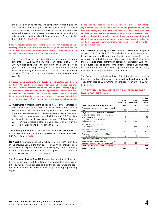the acquisition of be Around. The comparatively high figure for the previous year includes purchase price payments for the online cancellation service Aboalarm GmbH and the e-commerce marketer Kairion GmbH and deferred purchase price payments for the US production companies Fabrik Entertainment, LLC, and Kinetic Content, LLC.  $\rightarrow$  [Significant Events, page 5](#page-4-1)

#### **Assets resulting from initial consolidations are not reported as segment-specific investments. Cash and cash equivalents used for the acquisition of the initially consolidated entities are shown as "cash outflow from additions to the scope of consolidation."**

\_ The cash outflow for the acquisition of programming rights amounted to EUR 303 million. This is an increase of 34% or EUR 76 million compared to the previous year. As in the previous year, 100% of the programming investments were made in the Entertainment segment. 51% went on licensed programs (previous year: 55%) and 47% on commissioned productions (previous year: 44%).

**Programming investments are a focal point in investing activities. In addition to the purchasing of licensed formats and commissioned productions, in-house formats secure the Group's programming supply. They are based on the development and implementation of own ideas and, unlike commissioned productions, are produced primarily for broadcasting in the near future. For this reason, they are recognized immediately as an expense in cost of sales and are not considered as an investment.**

\_ Investments in property, plant, and equipment likewise increased to EUR 9 million (previous year: EUR 8 million). Most of this was also attributable to the Entertainment segment at 65% (previous year: 86%) and, besides technical facilities and leasehold improvements, related to the new campus at the Unterföhring site. EUR 33 million went on other intangible assets (previous year: EUR 26 million). At 73%, the Group invested in other intangible assets primarily in the Entertainment segment (previous year: 67%).

The developments described resulted in a **free cash flow** of minus EUR 54 million for the first quarter of 2019 (previous year: EUR 56 million).  $\rightarrow$  Fig. 22

**M&A cash flow** amounted to EUR 7 million, after minus EUR 31 million in the previous year. In the first quarter of 2019, this includes cash inflow from the disposal of the associated company Pluto. In addition, lower cash outflows for additions to the scope of consolidation had a positive effect.  $\rightarrow$  [Significant Events, page 5](#page-4-1)

The **free cash flow before M&A** amounted to minus EUR 61 million (previous year: EUR 87 million). This equates to a decrease of EUR 148 million, which is based both on the change in working capital and on a higher cash outflow for the acquisition of programming rights.

**Free cash flow: Total cash and cash equivalents generated in operating business less the balance of cash used and generated in the context of investing activities. Free cash flow before M&A: Free cash flow adjusted for cash used and generated by M&A transactions (excl. transaction costs) related to majority acquisitions that are carried out and planned, the purchase and sale of investments accounted for using the equity method and other investments with the exception of media-forequity investments.**

**Cash flow from financing activities** amounted to EUR 8 million (previous year: EUR –32 million). This figure is characterized by various contrary developments: The real estate loan in connection with the new campus at the Unterföhring site led to a cash inflow of EUR 15 million; there were also proceeds from non-controlling interests of EUR 7 million. A purchase price payment for additional shares in Sonoma Internet GmbH, Berlin, the company that operates the Amorelie platform, had an opposite effect in the first quarter of 2018.

The Group has a comfortable level of liquidity, although the cash flows described resulted in a decline in **cash and cash equivalents**. They amounted to EUR 989 million (previous year: EUR 1,562 mil- $\text{lion.} \rightarrow \text{Fig. 23}$  $\text{lion.} \rightarrow \text{Fig. 23}$  $\text{lion.} \rightarrow \text{Fig. 23}$ 

#### 22 / RECONCILIATION OF FREE CASH FLOW BEFORE M&A MEASURES in EUR m

<span id="page-13-0"></span>

|                                                                                                                        | Total<br>cash flow | <b>M&amp;A</b><br>cash flow | <b>Cash flow</b><br>before<br><b>M&amp;A</b> |
|------------------------------------------------------------------------------------------------------------------------|--------------------|-----------------------------|----------------------------------------------|
| Cash flow from operating activities                                                                                    | 282                | -/-                         | 282                                          |
| Proceeds from disposal of non-current<br>assets                                                                        | 33                 | 31                          | 2                                            |
| Payments for the acquisition of other<br>intangible assets and property, plant<br>and equipment                        | $-43$              | $-/-$                       | - 43                                         |
| Payments for the acquisition of<br>financial assets                                                                    | $-15$              | $-14$                       | $-2$                                         |
| Proceeds from disposal of<br>programming assets                                                                        | $\mathbf{1}$       | $-/-$                       | 1                                            |
| Payments for the acquisition of<br>programming assets                                                                  | $-303$             | $-/-$                       | -303                                         |
| Payments for the issuance of loan<br>receivables to external parties                                                   | 0                  | 0                           | $-/-$                                        |
| Cash flow from obtaining control of<br>subsidiaries or other businesses (net of<br>cash and cash equivalents acquired) | $-10$              | $-10$                       |                                              |
| <b>Cash flow from investing activities</b>                                                                             | - 337              | 7                           | - 344                                        |
| <b>Free cash flow</b>                                                                                                  | - 54               | 7                           | - 61                                         |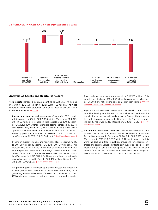#### <span id="page-14-0"></span>23 / CHANGE IN CASH AND CASH EQUIVALENTS in EUR m



### Analysis of Assets and Capital Structure

**Total assets** increased by 2%, amounting to EUR 6,594 million as of March 31, 2019 (December 31, 2018: EUR 6,468 million). The most important items in the statement of financial position are described in more detail below.  $\rightarrow$  [Fig. 24](#page-15-0)

\_ **Current and non-current assets:** As of March 31, 2019, goodwill increased by 7% to EUR 2,090 million (December 31, 2018: EUR 1,962 million); its share in total assets was 32% (December 31, 2018: 30%). Other intangible assets increased by 3% to EUR 850 million (December 31, 2018: EUR 824 million). These developments are influenced by the initial consolidation of be Around. Property, plant, and equipment increased by 5% to EUR 344 million (December 31, 2018: EUR 327 million).  $\rightarrow$  [Significant Events, page 5](#page-4-1)

Other non-current financial and non-financial assets grew by 24% to EUR 307 million (December 31, 2018: EUR 249 million). This increase was primarily due to new media-for-equity investments and the positive development of foreign currency hedges. Other current financial and non-financial assets fell by 6% to EUR 115 million (December 31, 2018: EUR 122 million). In addition, current trade receivables decreased by 14% to EUR 452 million (December 31, 2018: EUR 529 million).  $\rightarrow$  [Significant Events, page 5](#page-4-1)

Programming assets increased by 5% year-on-year and amounted to EUR 1,169 million (December 31, 2018: EUR 1,113 million). Programming assets made up 18% of total assets (December 31, 2018: 17%) and comprise non-current and current programming assets.

Cash and cash equivalents amounted to EUR 989 million. This equates to a decline of 4% or EUR 42 million compared to December 31, 2018, and reflects the development of cash flows.  $\rightarrow$  [Analysis](#page-12-1) [of Liquidity and Capital Expenditure, page 13](#page-12-1)

- \_ **Equity:** Equity increased by 19% or EUR <sup>201</sup> million to EUR 1,271 million. This development is based on the positive net result and the contribution of the shares in Marketplace by General Atlantic, which led to the increase in non-controlling interests. The corresponding equity ratio was 19.3% (December 31, 2018: 16.5%).  $\rightarrow$  [Signifi](#page-4-1)[cant Events, page 5](#page-4-1)
- \_ **Current and non-current liabilities:** Debt decreased slightly compared to the closing date in 2018; overall, liabilities and provisions fell by 1% compared to December 31, 2018, to EUR 5,323 million (December 31, 2018: EUR 5,398 million). The main reasons for this were the decline in trade payables, provisions for onerous contracts, and positive valuation effects from put option liabilities. New media-for-equity liabilities had an opposite effect. Non-current and current financial debt reported in debt was virtually unchanged at EUR 3,195 million (December 31, 2018: EUR 3,194 million).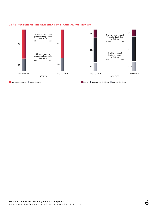<span id="page-15-0"></span>



Non-current assets Current assets Equity Non-current liabilities Current liabilities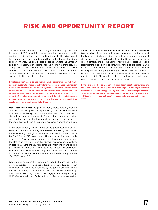# <span id="page-16-1"></span><span id="page-16-0"></span>RISK AND OPPORTUNITY REPORT

The opportunity situation has not changed fundamentally compared to the end of 2018. In addition, we estimate that there are currently no risks that, individually or in combination with other risks, could have a material or lasting adverse effect on the financial position and performance. The identified risks pose no threat to the Company as a going concern, even looking into the future. Nevertheless, the Group's overall risk situation heightened in the first quarter of 2019 compared to the end of 2018, in particular due to macroeconomic developments. Risks that increased compared to December 31, 2018, are described in more detail below.

**ProSiebenSat.1 Media SE has implemented a comprehensive risk management system to systematically identify, assess, manage and monitor risks. Risks reported as part of this system are summarized into categories and clusters. All relevant individual risks are examined in detail and managed as part of regular reporting. We monitor all relevant risks as part of the risk management process; in this risk report, however, we focus only on changes in those risks which have been classified as medium or high in their overall significance.**

**Macroeconomic risks:** The global economy cooled palpably over the course of 2018, partly as a consequence of growing protectionism and international trade disputes. In Europe, the threat of a no-deal Brexit also weighed down on sentiment. In Germany, these unfavorable external conditions and the development of the automotive sector, one of the key industries, brought the upward economic momentum to a halt.

At the start of 2019, the weakening of the global economic output seems to continue. According to the latest forecast by the International Monetary Fund, global GDP growth will fall from real 3.6% in 2018 to 3.3% in 2019 in real terms. Although no lasting recession is expected in Germany on account of the robust domestic economy, the strains on the export-oriented German economy are mounting. In particular, there are key risks emanating from important trading partners such as the USA, Great Britain and China. In the latest Joint Economic Forecast, the growth projection for the German economy has therefore been revised downward significantly from plus 1.9% (fall 2018) to plus 0.8%.

We, too, now consider the economic risks to be higher than in the previous quarter. As companies' advertising expenditure and other investment decisions are influenced by the general economic situation and sentiment, we see this external risk as a high risk (previously: medium) with a very high impact on earnings performance (previously: high). We continue to classify the probability of occurrence as possible.

**Success of in-house and commissioned productions and local content strategy:** Programs that viewers can connect with at a local level are increasingly becoming a competitive advantage over global streaming services. Therefore, ProSiebenSat.1 Group has enhanced its content strategy and is focusing more heavily on broadcasting live and local formats in addition to opportunities for digital exploitation. Due to the associated increase in the proportion of in-house and commissioned productions in programming as a whole, the effect of the risk has now risen from low to moderate. The probability of occurrence remains possible. The resulting risk has therefore increased, and we now categorize its significance as medium overall.

**The risks identified as medium or high and significant opportunities are described in the Annual Report 2018 from page 123. The organizational requirements for risk and opportunity management are also explained here. The Annual Report was published on March 21, 2019, and is available at**  [https://www.prosiebensat1.com/en/investor-relations/publications/annual](https://www.prosiebensat1.com/en/investor-relations/publications/annual-reports)[reports](https://www.prosiebensat1.com/en/investor-relations/publications/annual-reports) **.**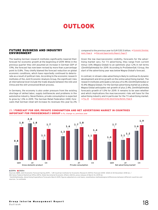# **OUTLOOK**

# <span id="page-17-1"></span><span id="page-17-0"></span>FUTURE BUSINESS AND INDUSTRY ENVIRONMENT

The leading German research institutes significantly lowered their forecast for economic growth at the beginning of 2019: While in the previous quarter they still assumed an increase in German GDP of 1.9%, the forecast has now been revised by more than a percentage point to 0.8%. They chiefly blamed the forecast reduction on global economic conditions, which have reportedly continued to deteriorate as a result of political risks. According to the economic research institutes of the Joint Economic Analysis Group, the significant risks at international level include the trade dispute between the USA and China and the still-unresolved Brexit process.

In Germany, the economy is also under pressure from the existing shortage of skilled labor, supply bottlenecks and problems in the automotive industry. Nevertheless, private consumption is expected to grow by 1.3% in 2019. The German Retail Federation (HDE) forecasts that German retail will increase its revenues this year by 2% compared to the previous year to EUR 535.5 billion.  $\rightarrow$  [Economic Develop](#page-5-1)ment, Page  $6 \rightarrow$  [Risk and Opportunity Report, Page 17](#page-16-1)

Given the low macroeconomic visibility, forecasts for the advertising market vary. For TV advertising, they range from current minus 1.6% (Magna Global) to an optimistic plus 1.2% in net terms (ZenithOptimedia) for 2019. According to ProSiebenSat.1 Group, the start of the advertising year was below Magna Global's forecast.

In contrast, in-stream video advertising is likely to continue its dynamic development and drive growth on the online advertising market. The research institutes anticipate a net plus of 6.4% (ZenithOptimedia) or 10.4% (Magna Global). For the German advertising market as a whole, Magna Global anticipates net growth of plus 2.4%; ZenithOptimedia forecasts growth of 1.0% for 2019. It remains to be seen whether and which implications the macroeconomic risks will have for the advertising industry and in particular for the TV advertising market. → Fig. 25 → [Development of the Advertising Market, Page 6](#page-5-2)



#### 25 / FORECAST FOR GDP, PRIVATE CONSUMPTION AND NET ADVERTISING MARKET IN COUNTRIES IMPORTANT FOR PROSIEBENSAT.1 GROUP in %, change vs. previous year

#### 2019e 2020e

Sources: GER: Joint Economic Forecast Spring 2019. / AT: Austrian Institute for Economic Research (WIFO); Forecast 2018-2020 of 20 December 2018 (e). /<br>CH: Swiss Federal Statistical Office (BFS), State Secretariat Economic

**CH:** Swiss Federal Statistical Office (BFS), State Secretariat Economic Affairs (SECO), press release of March 14, 2019 (e).<br>' ZenithOptimedia, Advertising Expenditure Forecasts March 2019, figures adjusted on a net basis sources. / **e**: estimate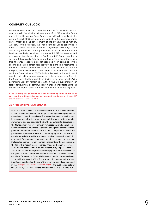# <span id="page-18-0"></span>COMPANY OUTLOOK

With the development described, business performance in the first quarter was in line with the full-year targets for 2019, which the Group presented at the Annual Press Conference in March as well as in the Annual Report 2018 and which are subject to the macroeconomic environment and the development of the TV advertising market. As such, for the full-year, the ProSiebenSat.1 Group continues to target a revenue increase in the mid single-digit percentage range and an adjusted EBITDA margin between 22% and 25% on Group level, respectively. As already announced, 2019 is characterized as a year of investments for the ProSiebenSat.1 Group in order to set up a future-ready Entertainment business. In accordance with this, the Group expects a pronounced decline in earnings for the second and third quarter, respectively, as planned investments in the Entertainment segment will focus on these two quarters. For the full-year, the ProSiebenSat.1 Group expects, as announced, that the decline in Group adjusted EBITDA in fiscal 2019 will be limited to a mid double-digit million amount compared to the previous year. Overall, the Group sees itself on track to achieving its full-year targets. With advertising visibility remaining low, the Group will support full-year target achievement by continued cost management efforts as well as growth and monetization initiatives in the Entertainment segment.

**i The company has published detailed explanatory notes on the fore**cast and the anticipated Group and segment key figures on  $\rightarrow$  pages 137 and 138 of the Annual Report 2018**.**

#### 26 / PREDICTIVE STATEMENTS

Forecasts are based on current assessments of future developments. In this context, we draw on our budget planning and comprehensive market and competitive analyses. The forecasted values are calculated in accordance with the reporting principles used in the financial statements and are consistent with the adjustments described in the Management Report. However, forecasts naturally entail some uncertainties that could lead to positive or negative deviations from planning. If imponderables occur or if the assumptions on which the predictive statements are made no longer apply, actual results may deviate materially from the statements made or the results implicitly expressed. Developments that could negatively impact this forecast include, for example, lower economic momentum than expected at the time this report was prepared. These and other factors are explained in detail in the Risk and Opportunity Report. There we also report on additional growth potential; opportunities that we have not yet or not fully budgeted for could arise from corporate strategy decisions, for example. Potential risks are accounted for regularly and systematically as part of the Group-wide risk management process. Significant events after the end of the reporting period are explained in the  $\rightarrow$  ["Significant Events" section on page 5](#page-4-1). The publication date of the Quarterly Statement for the first quarter of 2019 is May 9, 2019.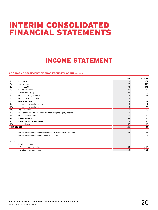# <span id="page-19-0"></span>INTERIM CONSOLIDATED FINANCIAL STATEMENTS

# INCOME STATEMENT

# 27 / **INCOME STATEMENT OF PROSIEBENSAT.1 GROUP** in EUR m

|                                                                    | Q1 2019           | 012018       |
|--------------------------------------------------------------------|-------------------|--------------|
| Revenues                                                           | 913               | 881          |
| Cost of sales                                                      | $-522$            | $-490$       |
| <b>Gross profit</b>                                                | 390               | 392          |
| Selling expenses                                                   | $-140$            | $-119$       |
| Administrative expenses                                            | $-127$            | $-196$       |
| Other operating expenses                                           | $-3$              | $-3$         |
| Other operating income                                             | 9                 | 8            |
| <b>Operating result</b>                                            | 129               | 81           |
| Interest and similar income                                        | $\Omega$          | $\mathbf{1}$ |
| Interest and similar expenses                                      | $-10$             | $-23$        |
| Interest result                                                    | $-10$             | $-23$        |
| Result from investments accounted for using the equity method      | $-8$              | $-2$         |
| Other financial result                                             | 67                | $-10$        |
| <b>Financial result</b>                                            | 49                | $-35$        |
| Result before income taxes                                         | 178               | 46           |
| Income taxes                                                       | $-57$             | $-16$        |
|                                                                    | 121               | 30           |
| Net result attributable to shareholders of ProSiebenSat.1 Media SE | 122               | 27           |
| Net result attributable to non-controlling interests               | $-1$              | 3            |
|                                                                    |                   |              |
| Earnings per share                                                 |                   |              |
| Basic earnings per share                                           | 0.54              | 0.12         |
| Diluted earnings per share                                         | 0.53              | 0.11         |
|                                                                    | <b>NET RESULT</b> |              |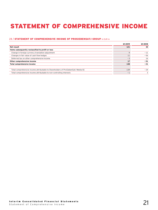# <span id="page-20-0"></span>STATEMENT OF COMPREHENSIVE INCOME

## 28 / STATEMENT OF COMPREHENSIVE INCOME OF PROSIEBENSAT.1 GROUP in EUR m

|                                                                                    | Q1 2019 | Q1 2018 |
|------------------------------------------------------------------------------------|---------|---------|
| Net result                                                                         | 121     | 30      |
| Items subsequently reclassified to profit or loss                                  |         |         |
| Change in foreign currency translation adjustment                                  |         | $-11$   |
| Changes in fair value of cash flow hedges                                          | 11      | $-56$   |
| Deferred tax on other comprehensive income                                         | $-3$    | 16      |
| Other comprehensive income                                                         | 17      | $-51$   |
| Total comprehensive income                                                         | 138     | $-21$   |
|                                                                                    |         |         |
| Total comprehensive income attributable to Shareholders of ProSiebenSat.1 Media SE | 139     | $-24$   |
| Total comprehensive income attributable to non-controlling interests               | - 1     |         |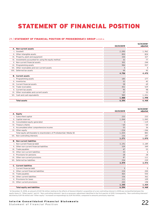# <span id="page-21-0"></span>STATEMENT OF FINANCIAL POSITION

### 29 / STATEMENT OF FINANCIAL POSITION OF PROSIEBENSAT.1 GROUP in EUR m

|                                                          | 03/31/2019 | 12/31/20181<br>adjusted |
|----------------------------------------------------------|------------|-------------------------|
| A. Non-current assets                                    |            |                         |
| I. Goodwill                                              | 2,090      | 1,962                   |
| II. Other intangible assets                              | 850        | 824                     |
| Property, plant and equipment<br>III.                    | 344        | 327                     |
| Investments accounted for using the equity method<br>IV. | 32         | 77                      |
| V. Non-current financial assets                          | 302        | 244                     |
| VI. Programming assets                                   | 984        | 937                     |
| Other receivables and non-current assets<br>VII.         | 5          | 4                       |
| Deferred tax assets<br>VIII.                             | 99         | 95                      |
|                                                          | 4,706      | 4,470                   |
| <b>B.</b> Current assets                                 |            |                         |
| I. Programming assets                                    | 185        | 177                     |
| II. Inventories                                          | 52         | 42                      |
| Current financial assets<br>III.                         | 58         | 69                      |
| IV. Trade receivables                                    | 452        | 529                     |
| V. Current tax assets                                    | 95         | 98                      |
| Other receivables and current assets<br>VI.              | 57         | 53                      |
| VII. Cash and cash equivalents                           | 989        | 1,031                   |
|                                                          | 1,888      | 1,998                   |
| <b>Total assets</b>                                      | 6,594      | 6,468                   |

|      |                                                                      | 03/31/2019 | 12/31/20181<br>adjusted |  |  |  |
|------|----------------------------------------------------------------------|------------|-------------------------|--|--|--|
|      | A. Equity                                                            |            |                         |  |  |  |
|      | I. Subscribed capital                                                | 233        | 233                     |  |  |  |
|      | II. Capital reserves                                                 | 1,044      | 1,043                   |  |  |  |
|      | III. Consolidated equity generated                                   | 3          | $-119$                  |  |  |  |
|      | IV. Treasury shares                                                  | $-64$      | $-64$                   |  |  |  |
|      | V. Accumulated other comprehensive income                            | 53         | 36                      |  |  |  |
|      | VI. Other equity                                                     | $-234$     | $-246$                  |  |  |  |
|      | Total equity attributable to shareholders of ProSiebenSat.1 Media SE | 1,035      | 883                     |  |  |  |
|      | VII. Non-controlling interests                                       | 236        | 187                     |  |  |  |
|      |                                                                      | 1,271      | 1,070                   |  |  |  |
|      | <b>B.</b> Non-current liabilities                                    |            |                         |  |  |  |
|      | I. Non-current financial debt                                        | 3,191      | 3,189                   |  |  |  |
|      | II. Other non-current financial liabilities                          | 339        | 349                     |  |  |  |
| III. | Trade payables                                                       | 47         | 53                      |  |  |  |
|      | IV. Other non-current liabilities                                    | 33         | 6                       |  |  |  |
|      | V. Provisions for pensions<br>28                                     |            |                         |  |  |  |
|      | 87<br>VI. Other non-current provisions                               |            |                         |  |  |  |
|      | VII. Deferred tax liabilities                                        | 254        | 239                     |  |  |  |
|      |                                                                      | 3,979      | 3,974                   |  |  |  |
|      | C. Current liabilities                                               |            |                         |  |  |  |
|      | I. Current financial debt                                            | 5          | 5                       |  |  |  |
|      | II. Other current financial liabilities                              | 224        | 200                     |  |  |  |
| III. | Trade payables                                                       | 465        | 550                     |  |  |  |
|      | IV. Other current liabilities                                        | 336        | 362                     |  |  |  |
|      | V. Provisions for taxes                                              | 111        | 109                     |  |  |  |
|      | VI. Other current provisions                                         | 203        | 198                     |  |  |  |
|      |                                                                      | 1,345      | 1,424                   |  |  |  |
|      | <b>Total equity and liabilities</b>                                  | 6,594      | 6,468                   |  |  |  |

<sup>1</sup> At December 31, 2018, an amount of EUR 116 million relating to the effects of General Atlantic's acquisition of a non-controlling interest in 2018 was reclassified between the equity items VI. "Other equity" and VII. "Non-controlling interests" due to a necessary adjustment identified in the first quarter of 2019. Consequently, "Non-controlling interests" declined by EUR 116 million and "Other equity" increased correspondingly by EUR 116 million, compared to amounts previously reported.

# Interim Consolidated Financial Statements<br>Statement of Financial Position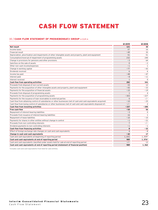# CASH FLOW STATEMENT

### <span id="page-22-0"></span>30 / CASH FLOW STATEMENT OF PROSIEBENSAT.1 GROUP in EUR m

|                                                                                                                  | Q1 2019        | Q1 2018        |
|------------------------------------------------------------------------------------------------------------------|----------------|----------------|
| Net result                                                                                                       | 121            | 30             |
| Income taxes                                                                                                     | 57             | 16             |
| Financial result                                                                                                 | $-49$          | 35             |
| Depreciation, amortization and impairments of other intangible assets and property, plant and equipment          | 51             | 51             |
| Consumption/reversal of impairment of programming assets                                                         | 232            | 240            |
| Change in provisions for pensions and other provisions                                                           | $-3$           | 64             |
| Gain/loss on the sale of assets                                                                                  | $\mathbf 0$    | $-2$           |
| Other non-cash income/expenses                                                                                   | - 1            | $\mathbf{1}$   |
| Change in working capital                                                                                        | $-77$          | $-43$          |
| Dividends received                                                                                               | 6              | 6              |
| Income tax paid                                                                                                  | -48            | $-47$          |
| Interest paid                                                                                                    | - 8            | $-11$          |
| Interest received                                                                                                | 1              | $\Omega$       |
| Cash flow from operating activities                                                                              | 282            | 341            |
| Proceeds from disposal of non-current assets                                                                     | 33             | 12             |
| Payments for the acquisition of other intangible assets and property, plant and equipment                        | $-43$          | $-33$          |
| Payments for the acquisition of financial assets                                                                 | $-15$          | $-19$          |
| Proceeds from disposal of programming assets                                                                     | $\mathbf{1}$   | $\overline{4}$ |
| Payments for the acquisition of programming assets                                                               | $-303$         | $-227$         |
| Payments for the issuance of loan receivables to external parties                                                | $\Omega$       | $-/-$          |
| Cash flow from obtaining control of subsidiaries or other businesses (net of cash and cash equivalents acquired) | $-10$          | $-25$          |
| Cash flow from losing control of subsidiaries or other businesses (net of cash and cash equivalents disposed of) | $-/-$          | $\overline{c}$ |
| Cash flow from investing activities                                                                              | $-337$         | - 285          |
| Free cash flow                                                                                                   | $-54$          | 56             |
| Repayment of interest-bearing liabilities                                                                        | $-3$           | $\Omega$       |
| Proceeds from issuance of interest-bearing liabilities                                                           | 16             | 1              |
| Repayment of lease liabilities                                                                                   | $-10$          | $-10$          |
| Payments for shares in other entities without change in control                                                  | - 1            | $-21$          |
| Proceeds from non-controlling interests                                                                          | $\overline{7}$ | $-/-$          |
| Dividend payments to non-controlling interests                                                                   | $-1$           | $-1$           |
| Cash flow from financing activities                                                                              | 8              | - 32           |
| Effect of foreign exchange rate changes on cash and cash equivalents                                             | $\overline{4}$ | $-8$           |
| Change in cash and cash equivalents                                                                              | -42            | 17             |
| Cash and cash equivalents at beginning of reporting period                                                       | 1,031          | 1,5591         |
| Cash and cash equivalents at end of reporting period                                                             | 989            | 1,5761         |
| Cash and cash equivalents classified under assets held for sale at end of reporting period                       | $-/-$          | 13             |
| Cash and cash equivalents at end of reporting period (statement of financial position)                           | 989            | 1,562          |

1 Includes cash and cash equivalents from held for sale entities.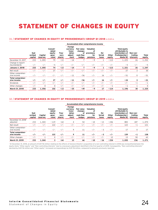# <span id="page-23-0"></span>STATEMENT OF CHANGES IN EQUITY

#### 31 / STATEMENT OF CHANGES IN EQUITY OF PROSIEBENSAT.1 GROUP Q1 2018 in EUR m

|                                    |                            |                     |                                               |                         |                                                            |                                                           | Accumulated other comprehensive income           |                        |                 |                                                                                                       |                                   |                 |  |  |  |  |  |
|------------------------------------|----------------------------|---------------------|-----------------------------------------------|-------------------------|------------------------------------------------------------|-----------------------------------------------------------|--------------------------------------------------|------------------------|-----------------|-------------------------------------------------------------------------------------------------------|-----------------------------------|-----------------|--|--|--|--|--|
|                                    | Sub-<br>scribed<br>capital | Capital<br>reserves | Consoli-<br>dated<br>equity<br>gene-<br>rated | Trea-<br>sury<br>shares | Foreign<br>currency<br>trans-<br>lation<br>adjust-<br>ment | <b>Fair value</b><br>changes<br>of<br>cash flow<br>hedges | Valuation<br>of<br>provisions<br>for<br>pensions | De-<br>ferred<br>taxes | Other<br>equity | <b>Total equity</b><br>attributable to<br>shareholders of<br><b>ProSiebenSat.1</b><br><b>Media SE</b> | Non-con-<br>trolling<br>interests | Total<br>equity |  |  |  |  |  |
| December 31, 2017                  | 233                        | 1,055               | 79                                            | $-13$                   | $-14$                                                      | 7                                                         | $-9$                                             |                        | $-113$          | 1,225                                                                                                 | 26                                | 1,252           |  |  |  |  |  |
| Change in report-<br>ing standards | $-/-$                      | $-/-$               | $-5$                                          | $-/-$                   | $-/-$                                                      | $-/-$                                                     | $-/-$                                            | $-/-$                  | $-/-$           | $-5$                                                                                                  | $-/-$                             | $-5$            |  |  |  |  |  |
| <b>January 1, 2018</b>             | 233                        | 1,055               | 74                                            | $-13$                   | $-14$                                                      | 7                                                         | - 9                                              | $\mathbf{1}$           | $-113$          | 1,221                                                                                                 | 26                                | 1,247           |  |  |  |  |  |
| Net result                         | $-/-$                      | $-/-$               | 27                                            | $-/-$                   | $-/-$                                                      | $-/-$                                                     | $-/-$                                            | $-/-$                  | $-/-$           | 27                                                                                                    | 3                                 | 30              |  |  |  |  |  |
| Other comprehen-<br>sive income    | $-/-$                      | $-/-$               | $-/-$                                         | $-/-$                   | $-11$                                                      | $-56$                                                     | $-/-$                                            | 16                     | $-/-$           | $-51$                                                                                                 | 0                                 | $-51$           |  |  |  |  |  |
| Total comprehen-<br>sive income    | $-/-$                      | $-/-$               | 27                                            | $-/-$                   | $-11$                                                      | $-56$                                                     | $-/-$                                            | 16                     | $-/-$           | $-24$                                                                                                 | 3                                 | $-21$           |  |  |  |  |  |
| Dividends                          | $-/-$                      | $-/-$               | $-/-$                                         | $-/-$                   | $-/-$                                                      | $-/-$                                                     | $-/-$                                            | $-/-$                  | $-/-$           | $-/-$                                                                                                 | $-1$                              | $-1$            |  |  |  |  |  |
| Other changes                      | $-/-$                      | $\Omega$            | $\mathbf 0$                                   | $-/-$                   | $-/-$                                                      | $-/-$                                                     | $-/-$                                            | $-/-$                  | $-1$            | $-1$                                                                                                  |                                   | 0               |  |  |  |  |  |
| March 31, 2018                     | 233                        | 1,056               | 102                                           | $-13$                   | $-25$                                                      | $-49$                                                     | - 9                                              | 17                     | $-114$          | 1,196                                                                                                 | 30                                | 1,225           |  |  |  |  |  |

## 32 / STATEMENT OF CHANGES IN EQUITY OF PROSIEBENSAT.1 GROUP Q1 2019 in EUR m

|                                            |                            |                     |                                               |                         |                                                            |                                                           | Accumulated other comprehensive income           |                        |                 |                                                                                                |                                   |                 |
|--------------------------------------------|----------------------------|---------------------|-----------------------------------------------|-------------------------|------------------------------------------------------------|-----------------------------------------------------------|--------------------------------------------------|------------------------|-----------------|------------------------------------------------------------------------------------------------|-----------------------------------|-----------------|
|                                            | Sub-<br>scribed<br>capital | Capital<br>reserves | Consoli-<br>dated<br>equity<br>gene-<br>rated | Trea-<br>sury<br>shares | Foreian<br>currency<br>trans-<br>lation<br>adjust-<br>ment | <b>Fair value</b><br>changes<br>of<br>cash flow<br>hedges | Valuation<br>οf<br>provisions<br>for<br>pensions | De-<br>ferred<br>taxes | Other<br>equity | <b>Total equity</b><br>attributable to<br>shareholders of<br>ProSiebenSat.1<br><b>Media SE</b> | Non-con-<br>trollina<br>interests | Total<br>equity |
| December 31, 2018 <sup>1</sup><br>adjusted | 233                        | 1,043               | $-119$                                        | $-64$                   | 4                                                          | 54                                                        | $-10$                                            | $-13$                  | $-246$          | 883                                                                                            | 187                               | 1,070           |
| Net result                                 | $-/-$                      | $-/-$               | 122                                           | $-/-$                   | $-/-$                                                      | $-/-$                                                     | $-/-$                                            | $-/-$                  | $-/-$           | 122                                                                                            | $-1$                              | 121             |
| Other comprehen-<br>sive income            | $-/-$                      | $-/-$               | $-/-$                                         | $-/-$                   | 9                                                          | 11                                                        | $-/-$                                            | $-3$                   | $-/-$           | 17                                                                                             | 0                                 | 17              |
| Total comprehen-<br>sive income            | -/-                        | $-/-$               | 122                                           | -/-                     | 9                                                          | 11                                                        | $-/-$                                            | -3                     | $-/-$           | 139                                                                                            | -1                                | 138             |
| Other changes                              | $-/-$                      |                     | 0                                             | $-/-$                   | $-/-$                                                      | $-/-$                                                     | $-/-$                                            | $-/-$                  | 12              | 13                                                                                             | 50                                | 63              |
| March 31, 2019                             | 233                        | 1.044               | 3                                             | $-64$                   | 13                                                         | 66                                                        | $-10$                                            | $-16$                  | $-234$          | 1.035                                                                                          | 236                               | 1.271           |

<sup>1</sup> At December 31, 2018, an amount of EUR 116 million relating to the effects of General Atlantic's acquisition of a non-controlling interest in 2018 was reclassified between the equity items "Other equity" and "Non-controlling interests" due to a necessary adjustment identified in the first quarter of 2019. Consequently, "Non-controlling interests" declined by EUR 116 million and "Other equity" increased correspondingly by EUR 116 million, compared to amounts previously reported.